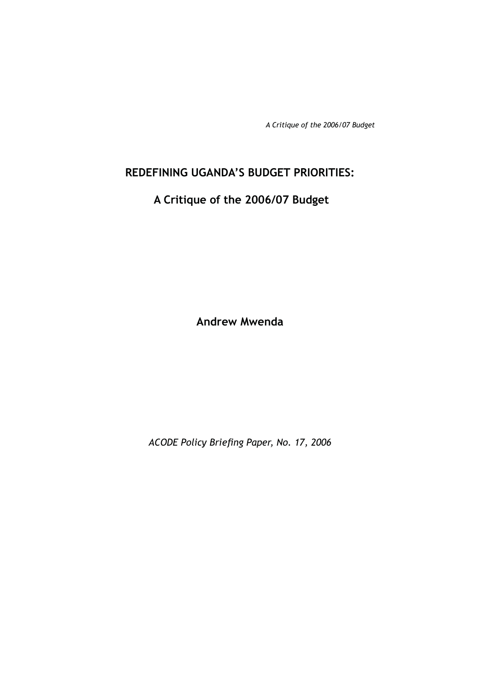# **REDEFINING UGANDA'S BUDGET PRIORITIES:**

# **A Critique of the 2006/07 Budget**

**Andrew Mwenda**

ACODE Policy Briefing Paper, No. 17, 2006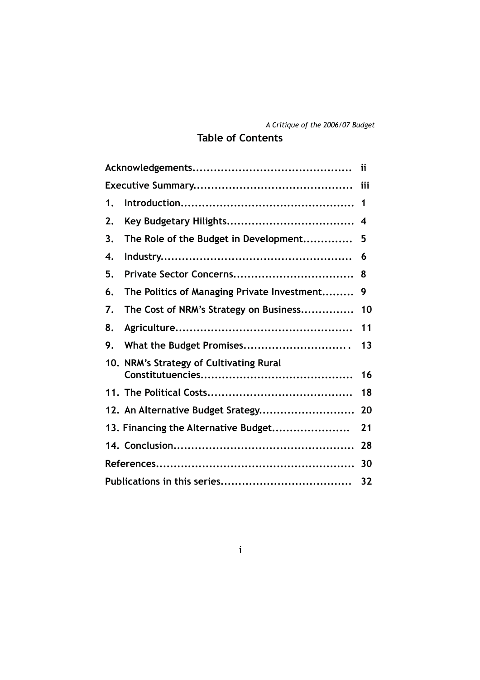# **Table of Contents**

| 1. |                                             | 1  |  |  |  |  |
|----|---------------------------------------------|----|--|--|--|--|
| 2. |                                             | 4  |  |  |  |  |
| 3. | The Role of the Budget in Development       | 5  |  |  |  |  |
| 4. |                                             | 6  |  |  |  |  |
| 5. |                                             | 8  |  |  |  |  |
| 6. | The Politics of Managing Private Investment | 9  |  |  |  |  |
| 7. | The Cost of NRM's Strategy on Business      | 10 |  |  |  |  |
| 8. |                                             | 11 |  |  |  |  |
| 9. | What the Budget Promises                    | 13 |  |  |  |  |
|    | 10. NRM's Strategy of Cultivating Rural     |    |  |  |  |  |
|    |                                             | 16 |  |  |  |  |
|    |                                             | 18 |  |  |  |  |
|    | 12. An Alternative Budget Srategy           | 20 |  |  |  |  |
|    | 13. Financing the Alternative Budget        | 21 |  |  |  |  |
|    |                                             | 28 |  |  |  |  |
|    |                                             |    |  |  |  |  |
| 32 |                                             |    |  |  |  |  |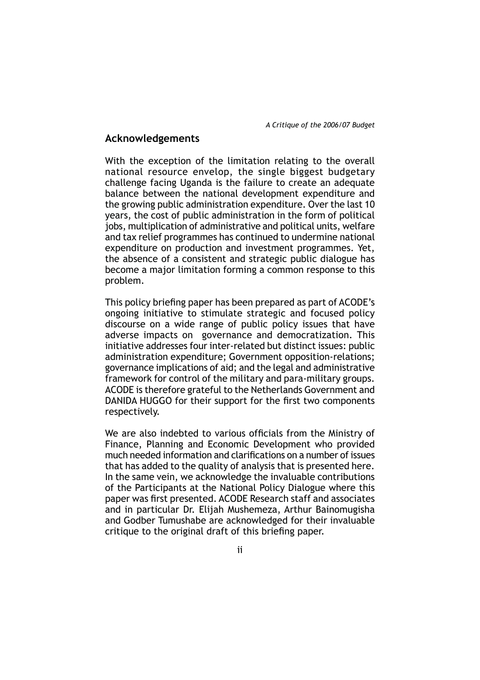### **Acknowledgements**

With the exception of the limitation relating to the overall national resource envelop, the single biggest budgetary challenge facing Uganda is the failure to create an adequate balance between the national development expenditure and the growing public administration expenditure. Over the last 10 years, the cost of public administration in the form of political jobs, multiplication of administrative and political units, welfare and tax relief programmes has continued to undermine national expenditure on production and investment programmes. Yet, the absence of a consistent and strategic public dialogue has become a major limitation forming a common response to this problem.

This policy briefing paper has been prepared as part of ACODE's ongoing initiative to stimulate strategic and focused policy discourse on a wide range of public policy issues that have adverse impacts on governance and democratization. This initiative addresses four inter-related but distinct issues: public administration expenditure; Government opposition-relations; governance implications of aid; and the legal and administrative framework for control of the military and para-military groups. ACODE is therefore grateful to the Netherlands Government and DANIDA HUGGO for their support for the first two components respectively.

We are also indebted to various officials from the Ministry of Finance, Planning and Economic Development who provided much needed information and clarifications on a number of issues that has added to the quality of analysis that is presented here. In the same vein, we acknowledge the invaluable contributions of the Participants at the National Policy Dialogue where this paper was first presented. ACODE Research staff and associates and in particular Dr. Elijah Mushemeza, Arthur Bainomugisha and Godber Tumushabe are acknowledged for their invaluable critique to the original draft of this briefing paper.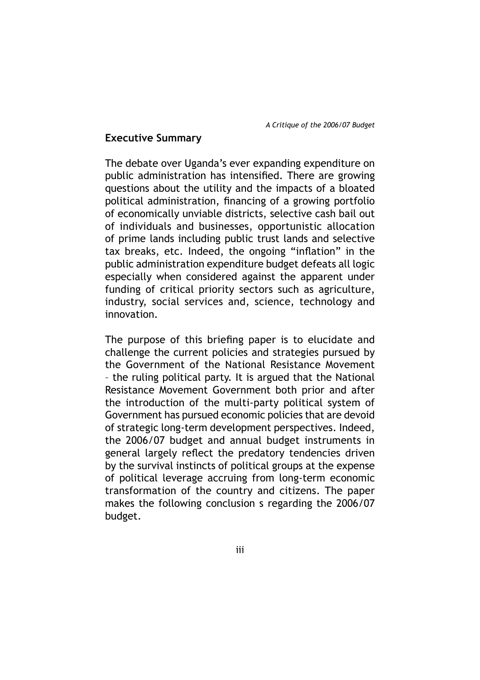# **Executive Summary**

The debate over Uganda's ever expanding expenditure on public administration has intensified. There are growing questions about the utility and the impacts of a bloated political administration, financing of a growing portfolio of economically unviable districts, selective cash bail out of individuals and businesses, opportunistic allocation of prime lands including public trust lands and selective tax breaks, etc. Indeed, the ongoing "inflation" in the public administration expenditure budget defeats all logic especially when considered against the apparent under funding of critical priority sectors such as agriculture, industry, social services and, science, technology and innovation.

The purpose of this briefing paper is to elucidate and challenge the current policies and strategies pursued by the Government of the National Resistance Movement – the ruling political party. It is argued that the National Resistance Movement Government both prior and after the introduction of the multi-party political system of Government has pursued economic policies that are devoid of strategic long-term development perspectives. Indeed, the 2006/07 budget and annual budget instruments in general largely reflect the predatory tendencies driven by the survival instincts of political groups at the expense of political leverage accruing from long-term economic transformation of the country and citizens. The paper makes the following conclusion s regarding the 2006/07 budget.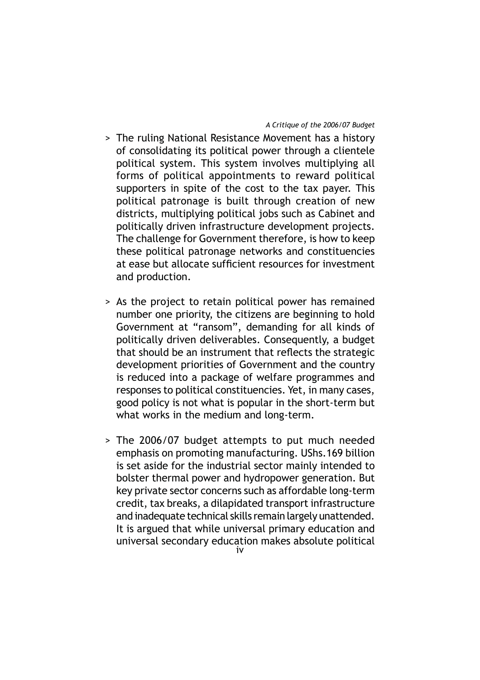- > The ruling National Resistance Movement has a history of consolidating its political power through a clientele political system. This system involves multiplying all forms of political appointments to reward political supporters in spite of the cost to the tax payer. This political patronage is built through creation of new districts, multiplying political jobs such as Cabinet and politically driven infrastructure development projects. The challenge for Government therefore, is how to keep these political patronage networks and constituencies at ease but allocate sufficient resources for investment and production.
- > As the project to retain political power has remained number one priority, the citizens are beginning to hold Government at "ransom", demanding for all kinds of politically driven deliverables. Consequently, a budget that should be an instrument that reflects the strategic development priorities of Government and the country is reduced into a package of welfare programmes and responses to political constituencies. Yet, in many cases, good policy is not what is popular in the short-term but what works in the medium and long-term.
- > The 2006/07 budget attempts to put much needed emphasis on promoting manufacturing. UShs.169 billion is set aside for the industrial sector mainly intended to bolster thermal power and hydropower generation. But key private sector concerns such as affordable long-term credit, tax breaks, a dilapidated transport infrastructure and inadequate technical skills remain largely unattended. It is argued that while universal primary education and universal secondary education makes absolute political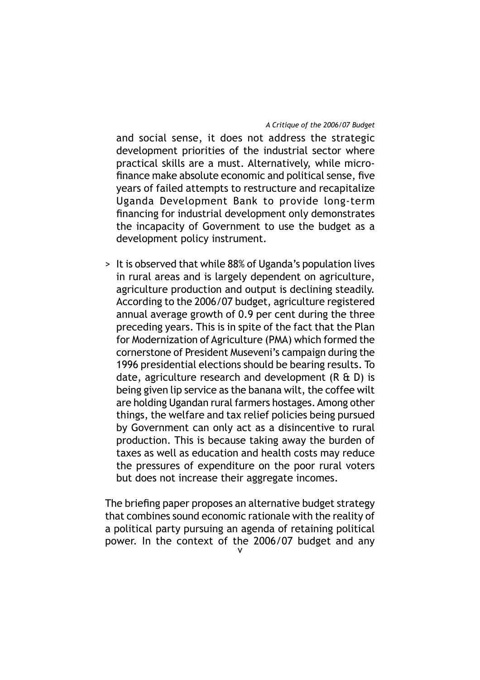and social sense, it does not address the strategic development priorities of the industrial sector where practical skills are a must. Alternatively, while microfinance make absolute economic and political sense, five years of failed attempts to restructure and recapitalize Uganda Development Bank to provide long-term financing for industrial development only demonstrates the incapacity of Government to use the budget as a development policy instrument.

> It is observed that while 88% of Uganda's population lives in rural areas and is largely dependent on agriculture, agriculture production and output is declining steadily. According to the 2006/07 budget, agriculture registered annual average growth of 0.9 per cent during the three preceding years. This is in spite of the fact that the Plan for Modernization of Agriculture (PMA) which formed the cornerstone of President Museveni's campaign during the 1996 presidential elections should be bearing results. To date, agriculture research and development (R & D) is being given lip service as the banana wilt, the coffee wilt are holding Ugandan rural farmers hostages. Among other things, the welfare and tax relief policies being pursued by Government can only act as a disincentive to rural production. This is because taking away the burden of taxes as well as education and health costs may reduce the pressures of expenditure on the poor rural voters but does not increase their aggregate incomes.

The briefing paper proposes an alternative budget strategy that combines sound economic rationale with the reality of a political party pursuing an agenda of retaining political power. In the context of the 2006/07 budget and any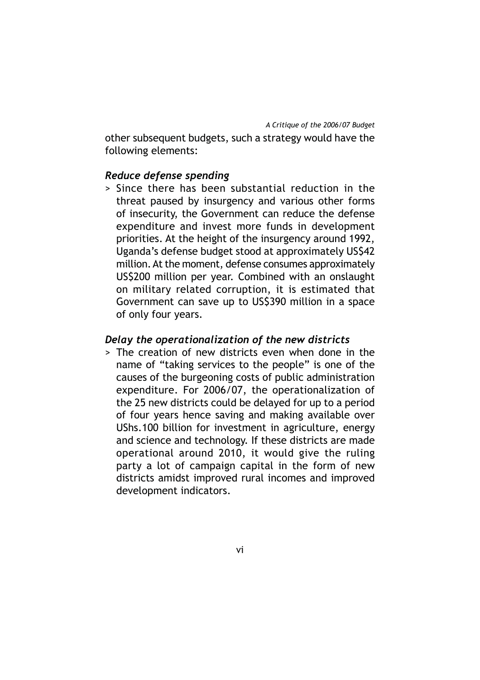other subsequent budgets, such a strategy would have the following elements:

# *Reduce defense spending*

> Since there has been substantial reduction in the threat paused by insurgency and various other forms of insecurity, the Government can reduce the defense expenditure and invest more funds in development priorities. At the height of the insurgency around 1992, Uganda's defense budget stood at approximately US\$42 million. At the moment, defense consumes approximately US\$200 million per year. Combined with an onslaught on military related corruption, it is estimated that Government can save up to US\$390 million in a space of only four years.

### *Delay the operationalization of the new districts*

> The creation of new districts even when done in the name of "taking services to the people" is one of the causes of the burgeoning costs of public administration expenditure. For 2006/07, the operationalization of the 25 new districts could be delayed for up to a period of four years hence saving and making available over UShs.100 billion for investment in agriculture, energy and science and technology. If these districts are made operational around 2010, it would give the ruling party a lot of campaign capital in the form of new districts amidst improved rural incomes and improved development indicators.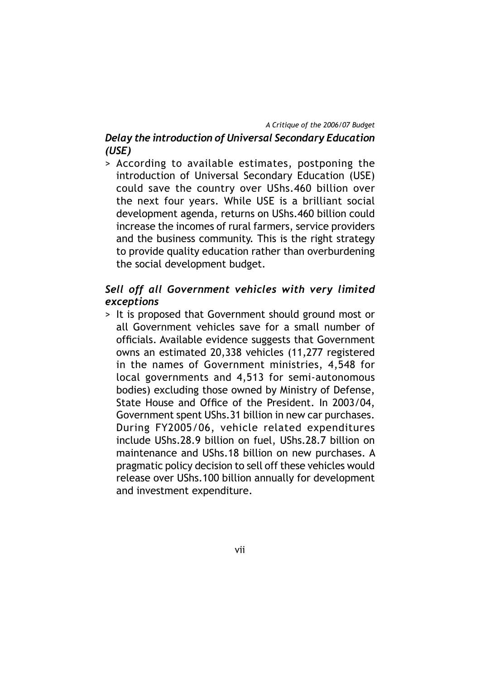# *Delay the introduction of Universal Secondary Education (USE)*

> According to available estimates, postponing the introduction of Universal Secondary Education (USE) could save the country over UShs.460 billion over the next four years. While USE is a brilliant social development agenda, returns on UShs.460 billion could increase the incomes of rural farmers, service providers and the business community. This is the right strategy to provide quality education rather than overburdening the social development budget.

# *Sell off all Government vehicles with very limited exceptions*

> It is proposed that Government should ground most or all Government vehicles save for a small number of officials. Available evidence suggests that Government owns an estimated 20,338 vehicles (11,277 registered in the names of Government ministries, 4,548 for local governments and 4,513 for semi-autonomous bodies) excluding those owned by Ministry of Defense, State House and Office of the President. In 2003/04, Government spent UShs.31 billion in new car purchases. During FY2005/06, vehicle related expenditures include UShs.28.9 billion on fuel, UShs.28.7 billion on maintenance and UShs.18 billion on new purchases. A pragmatic policy decision to sell off these vehicles would release over UShs.100 billion annually for development and investment expenditure.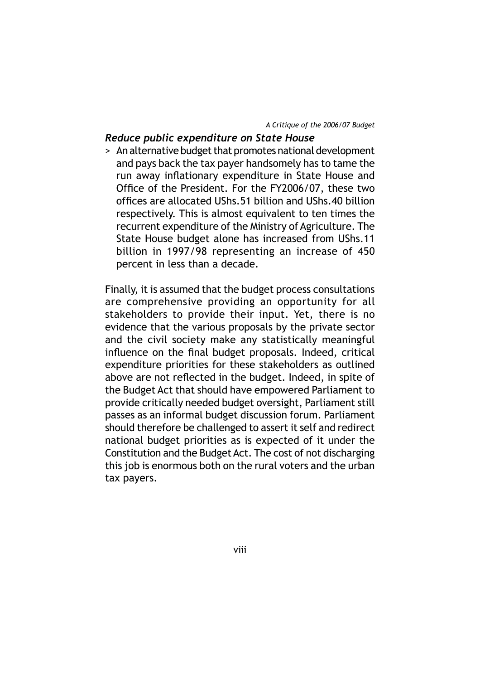## *Reduce public expenditure on State House*

> An alternative budget that promotes national development and pays back the tax payer handsomely has to tame the run away inflationary expenditure in State House and Office of the President. For the FY2006/07, these two offices are allocated UShs.51 billion and UShs.40 billion respectively. This is almost equivalent to ten times the recurrent expenditure of the Ministry of Agriculture. The State House budget alone has increased from UShs.11 billion in 1997/98 representing an increase of 450 percent in less than a decade.

Finally, it is assumed that the budget process consultations are comprehensive providing an opportunity for all stakeholders to provide their input. Yet, there is no evidence that the various proposals by the private sector and the civil society make any statistically meaningful influence on the final budget proposals. Indeed, critical expenditure priorities for these stakeholders as outlined above are not reflected in the budget. Indeed, in spite of the Budget Act that should have empowered Parliament to provide critically needed budget oversight, Parliament still passes as an informal budget discussion forum. Parliament should therefore be challenged to assert it self and redirect national budget priorities as is expected of it under the Constitution and the Budget Act. The cost of not discharging this job is enormous both on the rural voters and the urban tax payers.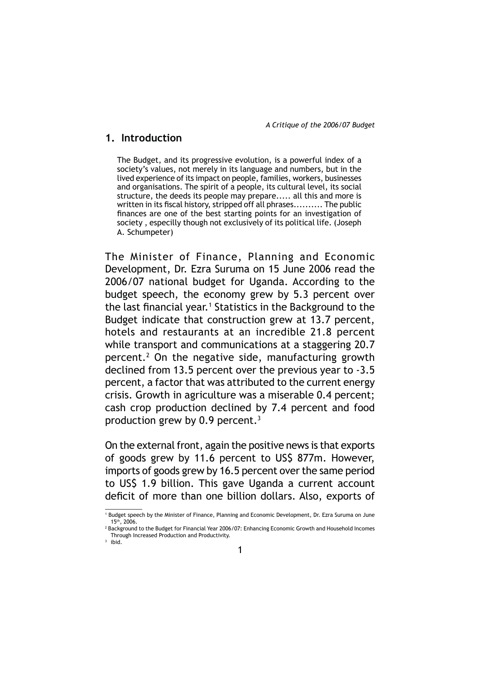### **1. Introduction**

The Budget, and its progressive evolution, is a powerful index of a society's values, not merely in its language and numbers, but in the lived experience of its impact on people, families, workers, businesses and organisations. The spirit of a people, its cultural level, its social structure, the deeds its people may prepare..... all this and more is written in its fiscal history, stripped off all phrases.......... The public finances are one of the best starting points for an investigation of society , especilly though not exclusively of its political life. (Joseph A. Schumpeter)

The Minister of Finance, Planning and Economic Development, Dr. Ezra Suruma on 15 June 2006 read the 2006/07 national budget for Uganda. According to the budget speech, the economy grew by 5.3 percent over the last financial year.<sup>1</sup> Statistics in the Background to the Budget indicate that construction grew at 13.7 percent, hotels and restaurants at an incredible 21.8 percent while transport and communications at a staggering 20.7 percent.2 On the negative side, manufacturing growth declined from 13.5 percent over the previous year to -3.5 percent, a factor that was attributed to the current energy crisis. Growth in agriculture was a miserable 0.4 percent; cash crop production declined by 7.4 percent and food production grew by 0.9 percent.3

On the external front, again the positive news is that exports of goods grew by 11.6 percent to US\$ 877m. However, imports of goods grew by 16.5 percent over the same period to US\$ 1.9 billion. This gave Uganda a current account deficit of more than one billion dollars. Also, exports of

<sup>1</sup> Budget speech by the Minister of Finance, Planning and Economic Development, Dr. Ezra Suruma on June 15th, 2006.

<sup>&</sup>lt;sup>2</sup> Background to the Budget for Financial Year 2006/07: Enhancing Economic Growth and Household Incomes Through Increased Production and Productivity.

<sup>3</sup> ibid.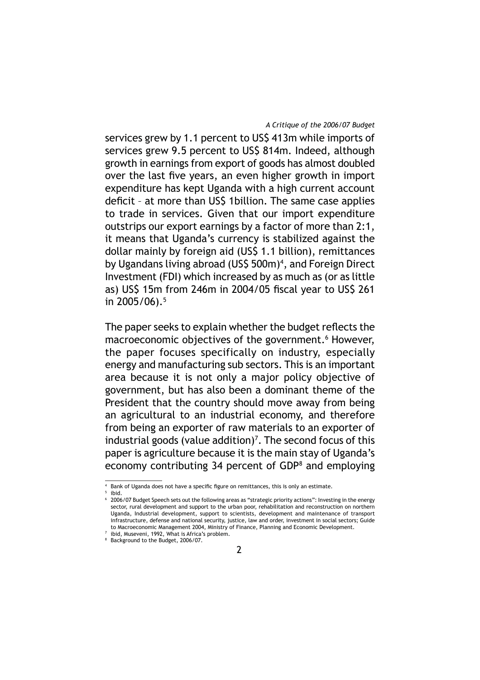services grew by 1.1 percent to US\$ 413m while imports of services grew 9.5 percent to US\$ 814m. Indeed, although growth in earnings from export of goods has almost doubled over the last five years, an even higher growth in import expenditure has kept Uganda with a high current account deficit - at more than US\$ 1 billion. The same case applies to trade in services. Given that our import expenditure outstrips our export earnings by a factor of more than 2:1, it means that Uganda's currency is stabilized against the dollar mainly by foreign aid (US\$ 1.1 billion), remittances by Ugandans living abroad (US\$ 500m)<sup>4</sup>, and Foreign Direct Investment (FDI) which increased by as much as (or as little as) US\$ 15m from 246m in 2004/05 fiscal year to US\$ 261 in 2005/06).<sup>5</sup>

The paper seeks to explain whether the budget reflects the macroeconomic objectives of the government.<sup>6</sup> However, the paper focuses specifically on industry, especially energy and manufacturing sub sectors. This is an important area because it is not only a major policy objective of government, but has also been a dominant theme of the President that the country should move away from being an agricultural to an industrial economy, and therefore from being an exporter of raw materials to an exporter of industrial goods (value addition)<sup>7</sup>. The second focus of this paper is agriculture because it is the main stay of Uganda's economy contributing 34 percent of GDP<sup>8</sup> and employing

<sup>4</sup> Bank of Uganda does not have a specific figure on remittances, this is only an estimate.

<sup>&</sup>lt;sup>5</sup> ibid. 6 2006/07 Budget Speech sets out the following areas as "strategic priority actions": Investing in the energy sector, rural development and support to the urban poor, rehabilitation and reconstruction on northern Uganda, Industrial development, support to scientists, development and maintenance of transport infrastructure, defense and national security, justice, law and order, investment in social sectors; Guide to Macroeconomic Management 2004, Ministry of Finance, Planning and Economic Development.

<sup>7</sup> ibid, Museveni, 1992, What is Africa's problem. 8 Background to the Budget, 2006/07.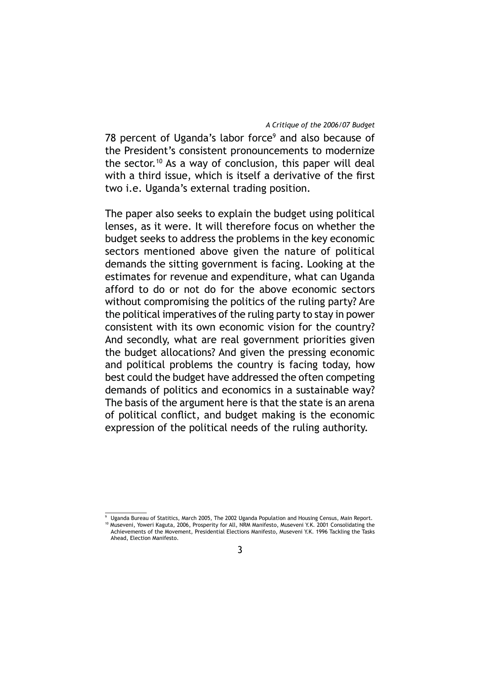78 percent of Uganda's labor force<sup>9</sup> and also because of the President's consistent pronouncements to modernize the sector.<sup>10</sup> As a way of conclusion, this paper will deal with a third issue, which is itself a derivative of the first two i.e. Uganda's external trading position.

The paper also seeks to explain the budget using political lenses, as it were. It will therefore focus on whether the budget seeks to address the problems in the key economic sectors mentioned above given the nature of political demands the sitting government is facing. Looking at the estimates for revenue and expenditure, what can Uganda afford to do or not do for the above economic sectors without compromising the politics of the ruling party? Are the political imperatives of the ruling party to stay in power consistent with its own economic vision for the country? And secondly, what are real government priorities given the budget allocations? And given the pressing economic and political problems the country is facing today, how best could the budget have addressed the often competing demands of politics and economics in a sustainable way? The basis of the argument here is that the state is an arena of political conflict, and budget making is the economic expression of the political needs of the ruling authority.

<sup>9</sup> Uganda Bureau of Statitics, March 2005, The 2002 Uganda Population and Housing Census, Main Report. 10 Museveni, Yoweri Kaguta, 2006, Prosperity for All, NRM Manifesto, Museveni Y.K. 2001 Consolidating the Achievements of the Movement, Presidential Elections Manifesto, Museveni Y.K. 1996 Tackling the Tasks Ahead, Election Manifesto.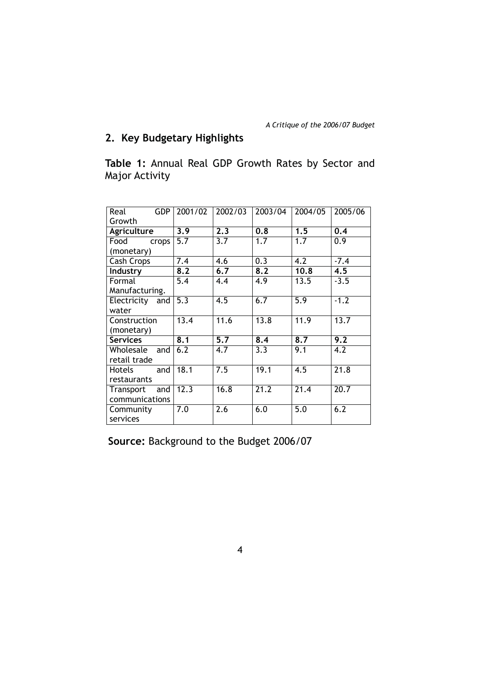# **2. Key Budgetary Highlights**

**Table 1:** Annual Real GDP Growth Rates by Sector and Major Activity

| <b>GDP</b><br>Real | 2001/02          | 2002/03          | 2003/04 | 2004/05          | 2005/06          |
|--------------------|------------------|------------------|---------|------------------|------------------|
| Growth             |                  |                  |         |                  |                  |
| Agriculture        | 3.9              | 2.3              | 0.8     | 1.5              | 0.4              |
| Food<br>crops      | 5.7              | 3.7              | 1.7     | 1.7              | 0.9              |
| (monetary)         |                  |                  |         |                  |                  |
| Cash Crops         | 7.4              | 4.6              | 0.3     | 4.2              | $-7.4$           |
| Industry           | 8.2              | 6.7              | 8.2     | 10.8             | 4.5              |
| Formal             | 5.4              | 4.4              | 4.9     | 13.5             | $-3.5$           |
| Manufacturing.     |                  |                  |         |                  |                  |
| Electricity and    | $\overline{5.3}$ | 4.5              | 6.7     | $\overline{5.9}$ | $-1.2$           |
| water              |                  |                  |         |                  |                  |
| Construction       | 13.4             | 11.6             | 13.8    | 11.9             | 13.7             |
| (monetary)         |                  |                  |         |                  |                  |
| <b>Services</b>    | 8.1              | $\overline{5.7}$ | 8.4     | 8.7              | $\overline{9.2}$ |
| Wholesale<br>and   | 6.2              | 4.7              | 3.3     | 9.1              | 4.2              |
| retail trade       |                  |                  |         |                  |                  |
| Hotels<br>and      | 18.1             | 7.5              | 19.1    | 4.5              | 21.8             |
| restaurants        |                  |                  |         |                  |                  |
| and<br>Transport   | 12.3             | 16.8             | 21.2    | 21.4             | 20.7             |
| communications     |                  |                  |         |                  |                  |
| Community          | 7.0              | 2.6              | 6.0     | 5.0              | 6.2              |
| services           |                  |                  |         |                  |                  |

**Source:** Background to the Budget 2006/07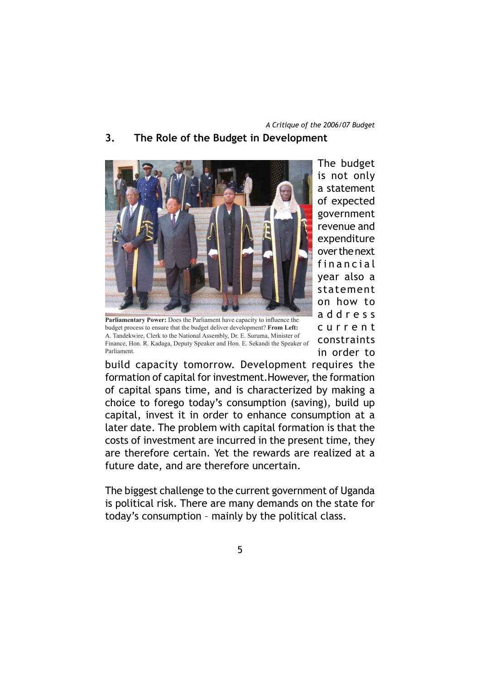# **3. The Role of the Budget in Development**



Parliamentary Power: Does the Parliament have capacity to influence the budget process to ensure that the budget deliver development? **From Left:**  A. Tandekwire, Clerk to the National Assembly, Dr. E. Suruma, Minister of Finance, Hon. R. Kadaga, Deputy Speaker and Hon. E. Sekandi the Speaker of Parliament.

The budget is not only a statement of expected government revenue and expenditure over the next financial year also a statement on how to a d d r e s s c u r r e n t constraints in order to

build capacity tomorrow. Development requires the formation of capital for investment.However, the formation of capital spans time, and is characterized by making a choice to forego today's consumption (saving), build up capital, invest it in order to enhance consumption at a later date. The problem with capital formation is that the costs of investment are incurred in the present time, they are therefore certain. Yet the rewards are realized at a future date, and are therefore uncertain.

The biggest challenge to the current government of Uganda is political risk. There are many demands on the state for today's consumption – mainly by the political class.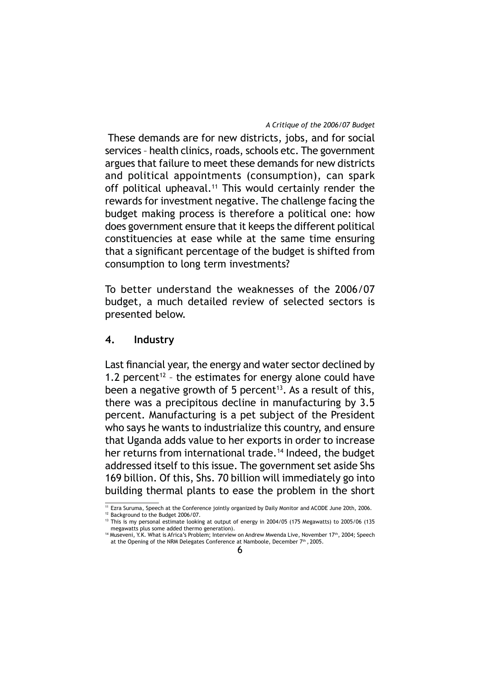These demands are for new districts, jobs, and for social services – health clinics, roads, schools etc. The government argues that failure to meet these demands for new districts and political appointments (consumption), can spark off political upheaval.<sup>11</sup> This would certainly render the rewards for investment negative. The challenge facing the budget making process is therefore a political one: how does government ensure that it keeps the different political constituencies at ease while at the same time ensuring that a significant percentage of the budget is shifted from consumption to long term investments?

To better understand the weaknesses of the 2006/07 budget, a much detailed review of selected sectors is presented below.

## **4. Industry**

Last financial year, the energy and water sector declined by 1.2 percent<sup>12</sup> - the estimates for energy alone could have been a negative growth of 5 percent<sup>13</sup>. As a result of this, there was a precipitous decline in manufacturing by 3.5 percent. Manufacturing is a pet subject of the President who says he wants to industrialize this country, and ensure that Uganda adds value to her exports in order to increase her returns from international trade.<sup>14</sup> Indeed, the budget addressed itself to this issue. The government set aside Shs 169 billion. Of this, Shs. 70 billion will immediately go into building thermal plants to ease the problem in the short

<sup>&</sup>lt;sup>11</sup> Ezra Suruma, Speech at the Conference jointly organized by Daily Monitor and ACODE June 20th, 2006.

<sup>12</sup> Background to the Budget 2006/07.

<sup>&</sup>lt;sup>13</sup> This is my personal estimate looking at output of energy in 2004/05 (175 Megawatts) to 2005/06 (135 megawatts plus some added thermo generation).

<sup>&</sup>lt;sup>14</sup> Museveni, Y.K. What is Africa's Problem; Interview on Andrew Mwenda Live, November 17<sup>th</sup>, 2004; Speech at the Opening of the NRM Delegates Conference at Namboole, December  $7<sup>th</sup>$ , 2005.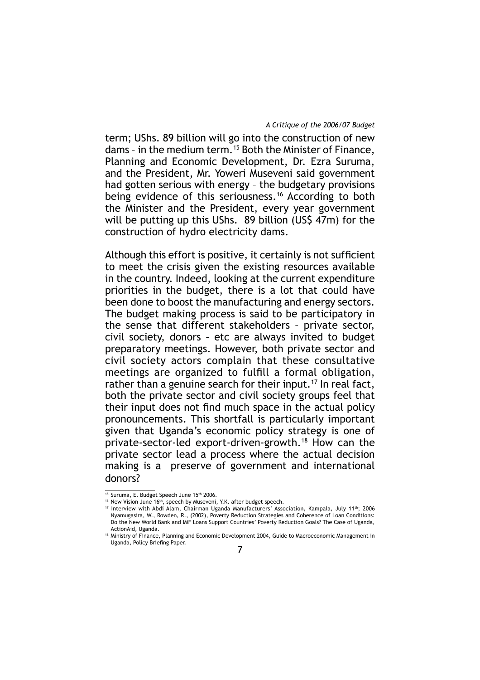term; UShs. 89 billion will go into the construction of new dams – in the medium term.15 Both the Minister of Finance, Planning and Economic Development, Dr. Ezra Suruma, and the President, Mr. Yoweri Museveni said government had gotten serious with energy – the budgetary provisions being evidence of this seriousness.16 According to both the Minister and the President, every year government will be putting up this UShs. 89 billion (US\$ 47m) for the construction of hydro electricity dams.

Although this effort is positive, it certainly is not sufficient to meet the crisis given the existing resources available in the country. Indeed, looking at the current expenditure priorities in the budget, there is a lot that could have been done to boost the manufacturing and energy sectors. The budget making process is said to be participatory in the sense that different stakeholders – private sector, civil society, donors – etc are always invited to budget preparatory meetings. However, both private sector and civil society actors complain that these consultative meetings are organized to fulfill a formal obligation, rather than a genuine search for their input.<sup>17</sup> In real fact, both the private sector and civil society groups feel that their input does not find much space in the actual policy pronouncements. This shortfall is particularly important given that Uganda's economic policy strategy is one of private-sector-led export-driven-growth.18 How can the private sector lead a process where the actual decision making is a preserve of government and international donors?

<sup>&</sup>lt;sup>15</sup> Suruma, E. Budget Speech June 15<sup>th</sup> 2006.

 $16$  New Vision June  $16<sup>th</sup>$ , speech by Museveni, Y.K. after budget speech.

<sup>17</sup> Interview with Abdi Alam, Chairman Uganda Manufacturers' Association, Kampala, July 11th; 2006 Nyamugasira, W., Rowden, R., (2002), Poverty Reduction Strategies and Coherence of Loan Conditions: Do the New World Bank and IMF Loans Support Countries' Poverty Reduction Goals? The Case of Uganda, ActionAid, Uganda.

<sup>18</sup> Ministry of Finance, Planning and Economic Development 2004, Guide to Macroeconomic Management in Uganda, Policy Briefing Paper.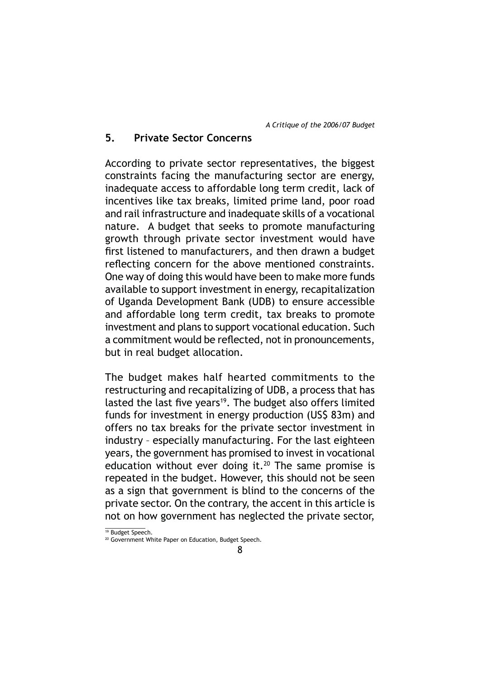# **5. Private Sector Concerns**

According to private sector representatives, the biggest constraints facing the manufacturing sector are energy, inadequate access to affordable long term credit, lack of incentives like tax breaks, limited prime land, poor road and rail infrastructure and inadequate skills of a vocational nature. A budget that seeks to promote manufacturing growth through private sector investment would have first listened to manufacturers, and then drawn a budget reflecting concern for the above mentioned constraints. One way of doing this would have been to make more funds available to support investment in energy, recapitalization of Uganda Development Bank (UDB) to ensure accessible and affordable long term credit, tax breaks to promote investment and plans to support vocational education. Such a commitment would be reflected, not in pronouncements, but in real budget allocation.

The budget makes half hearted commitments to the restructuring and recapitalizing of UDB, a process that has lasted the last five years<sup>19</sup>. The budget also offers limited funds for investment in energy production (US\$ 83m) and offers no tax breaks for the private sector investment in industry – especially manufacturing. For the last eighteen years, the government has promised to invest in vocational education without ever doing it.<sup>20</sup> The same promise is repeated in the budget. However, this should not be seen as a sign that government is blind to the concerns of the private sector. On the contrary, the accent in this article is not on how government has neglected the private sector,

<sup>&</sup>lt;sup>19</sup> Budget Speech.

<sup>&</sup>lt;sup>20</sup> Government White Paper on Education, Budget Speech.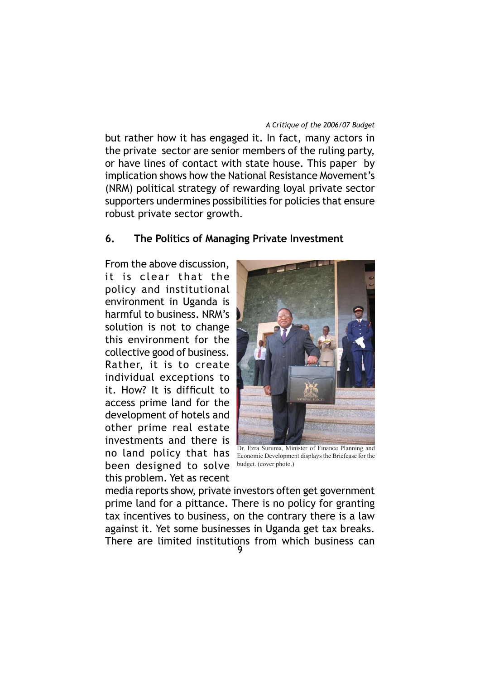but rather how it has engaged it. In fact, many actors in the private sector are senior members of the ruling party, or have lines of contact with state house. This paper by implication shows how the National Resistance Movement's (NRM) political strategy of rewarding loyal private sector supporters undermines possibilities for policies that ensure robust private sector growth.

### **6. The Politics of Managing Private Investment**

From the above discussion, it is clear that the policy and institutional environment in Uganda is harmful to business. NRM's solution is not to change this environment for the collective good of business. Rather, it is to create individual exceptions to it. How? It is difficult to access prime land for the development of hotels and other prime real estate investments and there is no land policy that has been designed to solve this problem. Yet as recent



Dr. Ezra Suruma, Minister of Finance Planning and Economic Development displays the Briefcase for the budget. (cover photo.)

media reports show, private investors often get government prime land for a pittance. There is no policy for granting tax incentives to business, on the contrary there is a law against it. Yet some businesses in Uganda get tax breaks. There are limited institutions from which business can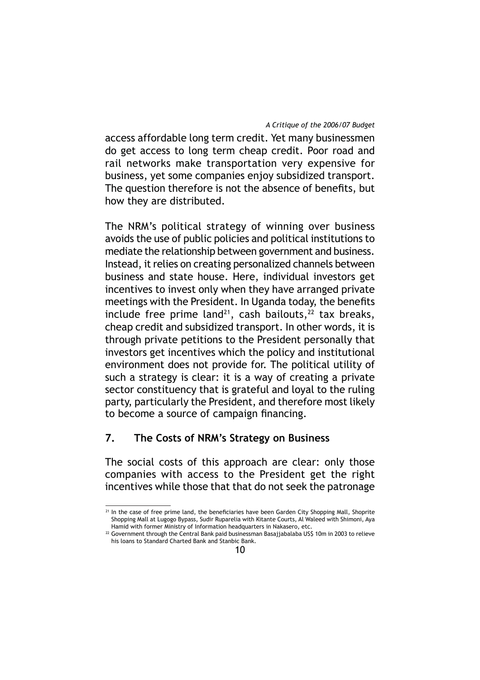access affordable long term credit. Yet many businessmen do get access to long term cheap credit. Poor road and rail networks make transportation very expensive for business, yet some companies enjoy subsidized transport. The question therefore is not the absence of benefits, but how they are distributed.

The NRM's political strategy of winning over business avoids the use of public policies and political institutions to mediate the relationship between government and business. Instead, it relies on creating personalized channels between business and state house. Here, individual investors get incentives to invest only when they have arranged private meetings with the President. In Uganda today, the benefits include free prime land<sup>21</sup>, cash bailouts,  $22$  tax breaks, cheap credit and subsidized transport. In other words, it is through private petitions to the President personally that investors get incentives which the policy and institutional environment does not provide for. The political utility of such a strategy is clear: it is a way of creating a private sector constituency that is grateful and loyal to the ruling party, particularly the President, and therefore most likely to become a source of campaign financing.

# **7. The Costs of NRM's Strategy on Business**

The social costs of this approach are clear: only those companies with access to the President get the right incentives while those that that do not seek the patronage

<sup>&</sup>lt;sup>21</sup> In the case of free prime land, the beneficiaries have been Garden City Shopping Mall, Shoprite Shopping Mall at Lugogo Bypass, Sudir Ruparelia with Kitante Courts, Al Waleed with Shimoni, Aya Hamid with former Ministry of Information headquarters in Nakasero, etc.

<sup>22</sup> Government through the Central Bank paid businessman Basajjabalaba US\$ 10m in 2003 to relieve his loans to Standard Charted Bank and Stanbic Bank.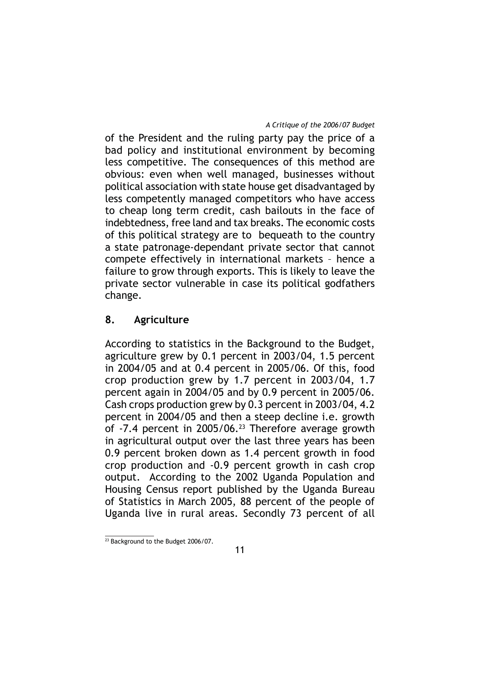of the President and the ruling party pay the price of a bad policy and institutional environment by becoming less competitive. The consequences of this method are obvious: even when well managed, businesses without political association with state house get disadvantaged by less competently managed competitors who have access to cheap long term credit, cash bailouts in the face of indebtedness, free land and tax breaks. The economic costs of this political strategy are to bequeath to the country a state patronage-dependant private sector that cannot compete effectively in international markets – hence a failure to grow through exports. This is likely to leave the private sector vulnerable in case its political godfathers change.

# **8. Agriculture**

According to statistics in the Background to the Budget, agriculture grew by 0.1 percent in 2003/04, 1.5 percent in 2004/05 and at 0.4 percent in 2005/06. Of this, food crop production grew by 1.7 percent in 2003/04, 1.7 percent again in 2004/05 and by 0.9 percent in 2005/06. Cash crops production grew by 0.3 percent in 2003/04, 4.2 percent in 2004/05 and then a steep decline i.e. growth of -7.4 percent in 2005/06.23 Therefore average growth in agricultural output over the last three years has been 0.9 percent broken down as 1.4 percent growth in food crop production and -0.9 percent growth in cash crop output. According to the 2002 Uganda Population and Housing Census report published by the Uganda Bureau of Statistics in March 2005, 88 percent of the people of Uganda live in rural areas. Secondly 73 percent of all

<sup>&</sup>lt;sup>23</sup> Background to the Budget 2006/07.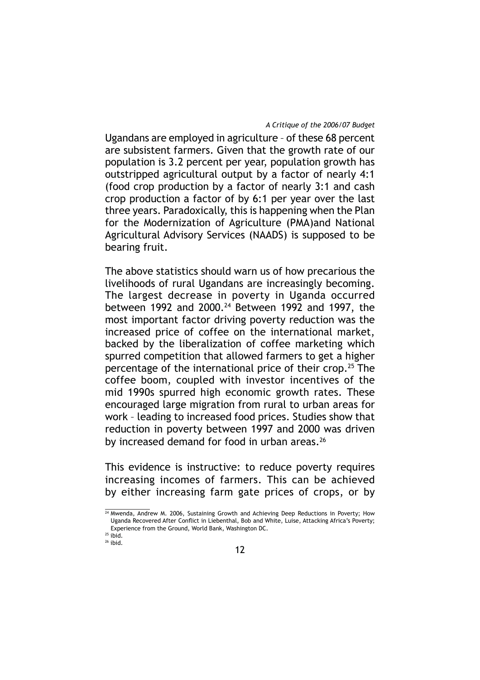Ugandans are employed in agriculture – of these 68 percent are subsistent farmers. Given that the growth rate of our population is 3.2 percent per year, population growth has outstripped agricultural output by a factor of nearly 4:1 (food crop production by a factor of nearly 3:1 and cash crop production a factor of by 6:1 per year over the last three years. Paradoxically, this is happening when the Plan for the Modernization of Agriculture (PMA)and National Agricultural Advisory Services (NAADS) is supposed to be bearing fruit.

The above statistics should warn us of how precarious the livelihoods of rural Ugandans are increasingly becoming. The largest decrease in poverty in Uganda occurred between 1992 and 2000.<sup>24</sup> Between 1992 and 1997, the most important factor driving poverty reduction was the increased price of coffee on the international market, backed by the liberalization of coffee marketing which spurred competition that allowed farmers to get a higher percentage of the international price of their crop.25 The coffee boom, coupled with investor incentives of the mid 1990s spurred high economic growth rates. These encouraged large migration from rural to urban areas for work – leading to increased food prices. Studies show that reduction in poverty between 1997 and 2000 was driven by increased demand for food in urban areas.<sup>26</sup>

This evidence is instructive: to reduce poverty requires increasing incomes of farmers. This can be achieved by either increasing farm gate prices of crops, or by

<sup>&</sup>lt;sup>24</sup> Mwenda, Andrew M. 2006, Sustaining Growth and Achieving Deep Reductions in Poverty; How Uganda Recovered After Conflict in Liebenthal, Bob and White, Luise, Attacking Africa's Poverty; Experience from the Ground, World Bank, Washington DC.

 $25$  ibid.  $26$  ibid.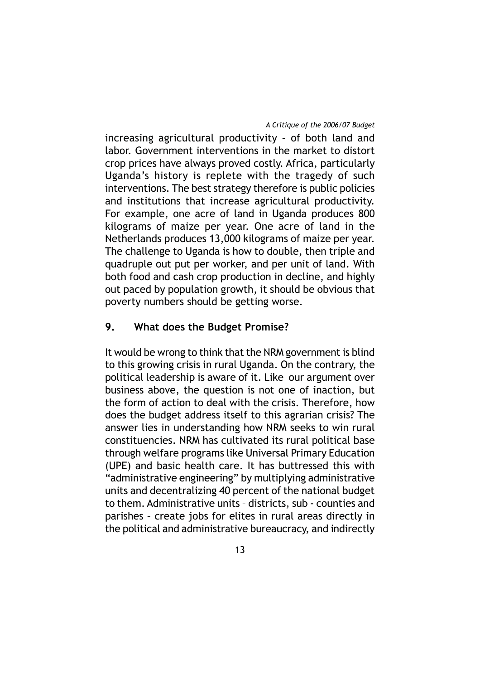increasing agricultural productivity – of both land and labor. Government interventions in the market to distort crop prices have always proved costly. Africa, particularly Uganda's history is replete with the tragedy of such interventions. The best strategy therefore is public policies and institutions that increase agricultural productivity. For example, one acre of land in Uganda produces 800 kilograms of maize per year. One acre of land in the Netherlands produces 13,000 kilograms of maize per year. The challenge to Uganda is how to double, then triple and quadruple out put per worker, and per unit of land. With both food and cash crop production in decline, and highly out paced by population growth, it should be obvious that poverty numbers should be getting worse.

# **9. What does the Budget Promise?**

It would be wrong to think that the NRM government is blind to this growing crisis in rural Uganda. On the contrary, the political leadership is aware of it. Like our argument over business above, the question is not one of inaction, but the form of action to deal with the crisis. Therefore, how does the budget address itself to this agrarian crisis? The answer lies in understanding how NRM seeks to win rural constituencies. NRM has cultivated its rural political base through welfare programs like Universal Primary Education (UPE) and basic health care. It has buttressed this with "administrative engineering" by multiplying administrative units and decentralizing 40 percent of the national budget to them. Administrative units – districts, sub - counties and parishes – create jobs for elites in rural areas directly in the political and administrative bureaucracy, and indirectly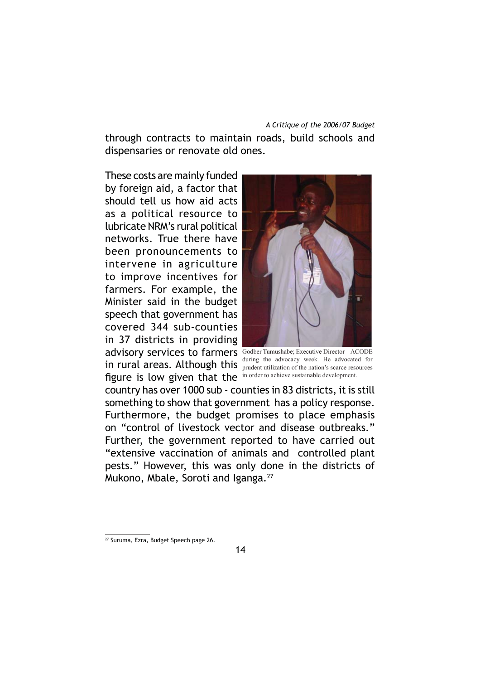through contracts to maintain roads, build schools and dispensaries or renovate old ones.

These costs are mainly funded by foreign aid, a factor that should tell us how aid acts as a political resource to lubricate NRM's rural political networks. True there have been pronouncements to intervene in agriculture to improve incentives for farmers. For example, the Minister said in the budget speech that government has covered 344 sub-counties in 37 districts in providing advisory services to farmers Godber Tumushabe; Executive Director-ACODE in rural areas. Although this during the advocacy week. He advocated for figure is low given that the in order to achieve sustainable development.



prudent utilization of the nation's scarce resources

country has over 1000 sub - counties in 83 districts, it is still something to show that government has a policy response. Furthermore, the budget promises to place emphasis on "control of livestock vector and disease outbreaks." Further, the government reported to have carried out "extensive vaccination of animals and controlled plant pests." However, this was only done in the districts of Mukono, Mbale, Soroti and Iganga.<sup>27</sup>

<sup>27</sup> Suruma, Ezra, Budget Speech page 26.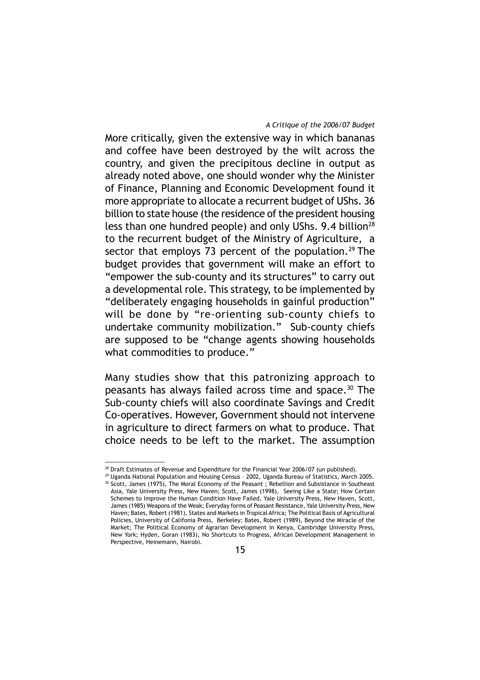More critically, given the extensive way in which bananas and coffee have been destroyed by the wilt across the country, and given the precipitous decline in output as already noted above, one should wonder why the Minister of Finance, Planning and Economic Development found it more appropriate to allocate a recurrent budget of UShs. 36 billion to state house (the residence of the president housing less than one hundred people) and only UShs. 9.4 billion<sup>28</sup> to the recurrent budget of the Ministry of Agriculture, a sector that employs 73 percent of the population.<sup>29</sup> The budget provides that government will make an effort to "empower the sub-county and its structures" to carry out a developmental role. This strategy, to be implemented by "deliberately engaging households in gainful production" will be done by "re-orienting sub-county chiefs to undertake community mobilization." Sub-county chiefs are supposed to be "change agents showing households what commodities to produce."

Many studies show that this patronizing approach to peasants has always failed across time and space.30 The Sub-county chiefs will also coordinate Savings and Credit Co-operatives. However, Government should not intervene in agriculture to direct farmers on what to produce. That choice needs to be left to the market. The assumption

<sup>&</sup>lt;sup>28</sup> Draft Estimates of Revenue and Expenditure for the Financial Year 2006/07 (un published).

<sup>&</sup>lt;sup>29</sup> Uganda National Population and Housing Census - 2002, Uganda Bureau of Statistics, March 2005. 30 Scott, James (1975), The Moral Economy of the Peasant ; Rebellion and Subsistance in Southeast Asia, Yale University Press, New Haven; Scott, James (1998), Seeing Like a State; How Certain Schemes to Improve the Human Condition Have Failed, Yale University Press, New Haven, Scott, James (1985) Weapons of the Weak; Everyday forms of Peasant Resistance, Yale University Press, New Haven; Bates, Robert (1981), States and Markets in Tropical Africa; The Political Basis of Agricultural Policies, University of Califonia Press, Berkeley; Bates, Robert (1989), Beyond the Miracle of the Market; The Political Economy of Agrarian Development in Kenya, Cambridge University Press, New York; Hyden, Goran (1983), No Shortcuts to Progress, African Development Management in Perspective, Heinemann, Nairobi.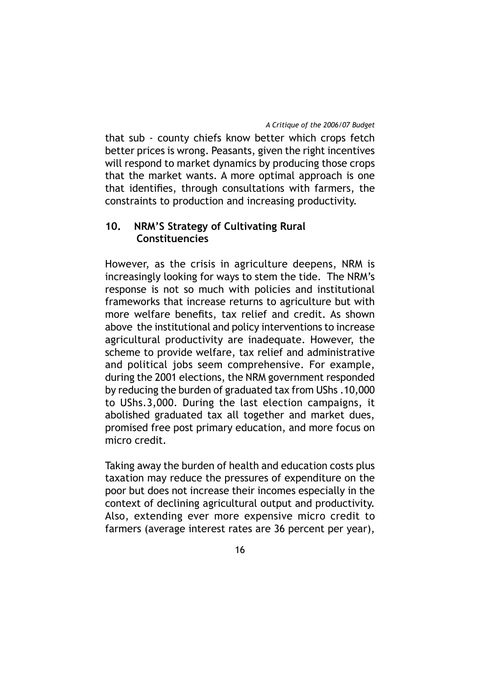that sub - county chiefs know better which crops fetch better prices is wrong. Peasants, given the right incentives will respond to market dynamics by producing those crops that the market wants. A more optimal approach is one that identifies, through consultations with farmers, the constraints to production and increasing productivity.

# **10. NRM'S Strategy of Cultivating Rural Constituencies**

However, as the crisis in agriculture deepens, NRM is increasingly looking for ways to stem the tide. The NRM's response is not so much with policies and institutional frameworks that increase returns to agriculture but with more welfare benefits, tax relief and credit. As shown above the institutional and policy interventions to increase agricultural productivity are inadequate. However, the scheme to provide welfare, tax relief and administrative and political jobs seem comprehensive. For example, during the 2001 elections, the NRM government responded by reducing the burden of graduated tax from UShs .10,000 to UShs.3,000. During the last election campaigns, it abolished graduated tax all together and market dues, promised free post primary education, and more focus on micro credit.

Taking away the burden of health and education costs plus taxation may reduce the pressures of expenditure on the poor but does not increase their incomes especially in the context of declining agricultural output and productivity. Also, extending ever more expensive micro credit to farmers (average interest rates are 36 percent per year),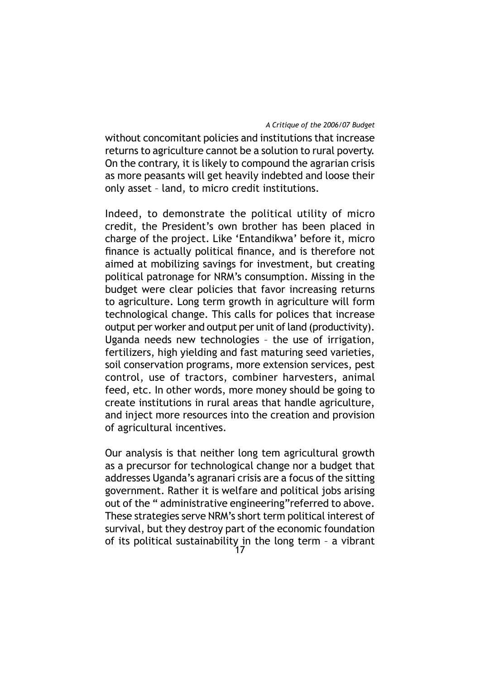without concomitant policies and institutions that increase returns to agriculture cannot be a solution to rural poverty. On the contrary, it is likely to compound the agrarian crisis as more peasants will get heavily indebted and loose their only asset – land, to micro credit institutions.

Indeed, to demonstrate the political utility of micro credit, the President's own brother has been placed in charge of the project. Like 'Entandikwa' before it, micro finance is actually political finance, and is therefore not aimed at mobilizing savings for investment, but creating political patronage for NRM's consumption. Missing in the budget were clear policies that favor increasing returns to agriculture. Long term growth in agriculture will form technological change. This calls for polices that increase output per worker and output per unit of land (productivity). Uganda needs new technologies – the use of irrigation, fertilizers, high yielding and fast maturing seed varieties, soil conservation programs, more extension services, pest control, use of tractors, combiner harvesters, animal feed, etc. In other words, more money should be going to create institutions in rural areas that handle agriculture, and inject more resources into the creation and provision of agricultural incentives.

Our analysis is that neither long tem agricultural growth as a precursor for technological change nor a budget that addresses Uganda's agranari crisis are a focus of the sitting government. Rather it is welfare and political jobs arising out of the " administrative engineering"referred to above. These strategies serve NRM's short term political interest of survival, but they destroy part of the economic foundation of its political sustainability in the long term - a vibrant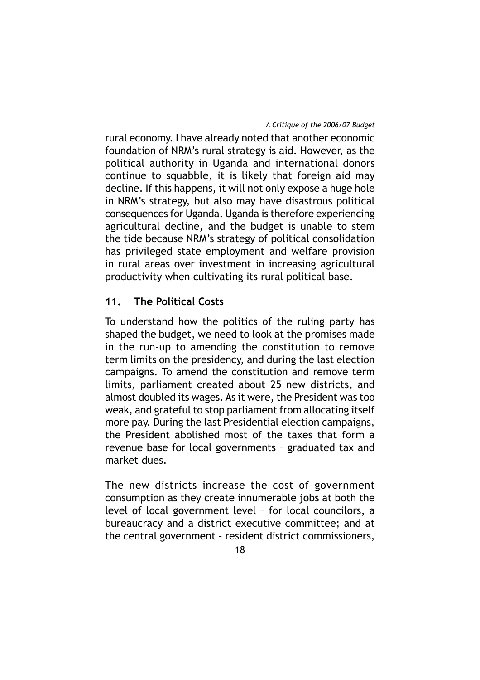rural economy. I have already noted that another economic foundation of NRM's rural strategy is aid. However, as the political authority in Uganda and international donors continue to squabble, it is likely that foreign aid may decline. If this happens, it will not only expose a huge hole in NRM's strategy, but also may have disastrous political consequences for Uganda. Uganda is therefore experiencing agricultural decline, and the budget is unable to stem the tide because NRM's strategy of political consolidation has privileged state employment and welfare provision in rural areas over investment in increasing agricultural productivity when cultivating its rural political base.

# **11. The Political Costs**

To understand how the politics of the ruling party has shaped the budget, we need to look at the promises made in the run-up to amending the constitution to remove term limits on the presidency, and during the last election campaigns. To amend the constitution and remove term limits, parliament created about 25 new districts, and almost doubled its wages. As it were, the President was too weak, and grateful to stop parliament from allocating itself more pay. During the last Presidential election campaigns, the President abolished most of the taxes that form a revenue base for local governments – graduated tax and market dues.

The new districts increase the cost of government consumption as they create innumerable jobs at both the level of local government level – for local councilors, a bureaucracy and a district executive committee; and at the central government – resident district commissioners,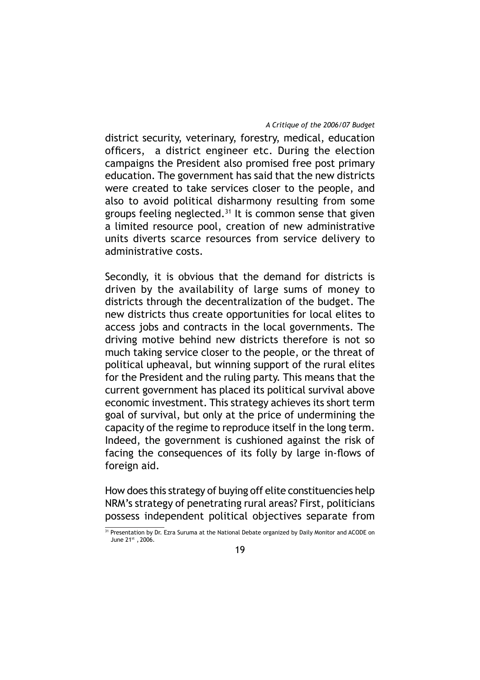district security, veterinary, forestry, medical, education officers, a district engineer etc. During the election campaigns the President also promised free post primary education. The government has said that the new districts were created to take services closer to the people, and also to avoid political disharmony resulting from some groups feeling neglected. $31$  It is common sense that given a limited resource pool, creation of new administrative units diverts scarce resources from service delivery to administrative costs.

Secondly, it is obvious that the demand for districts is driven by the availability of large sums of money to districts through the decentralization of the budget. The new districts thus create opportunities for local elites to access jobs and contracts in the local governments. The driving motive behind new districts therefore is not so much taking service closer to the people, or the threat of political upheaval, but winning support of the rural elites for the President and the ruling party. This means that the current government has placed its political survival above economic investment. This strategy achieves its short term goal of survival, but only at the price of undermining the capacity of the regime to reproduce itself in the long term. Indeed, the government is cushioned against the risk of facing the consequences of its folly by large in-flows of foreign aid.

How does this strategy of buying off elite constituencies help NRM's strategy of penetrating rural areas? First, politicians possess independent political objectives separate from

<sup>&</sup>lt;sup>31</sup> Presentation by Dr. Ezra Suruma at the National Debate organized by Daily Monitor and ACODE on June 21st, 2006.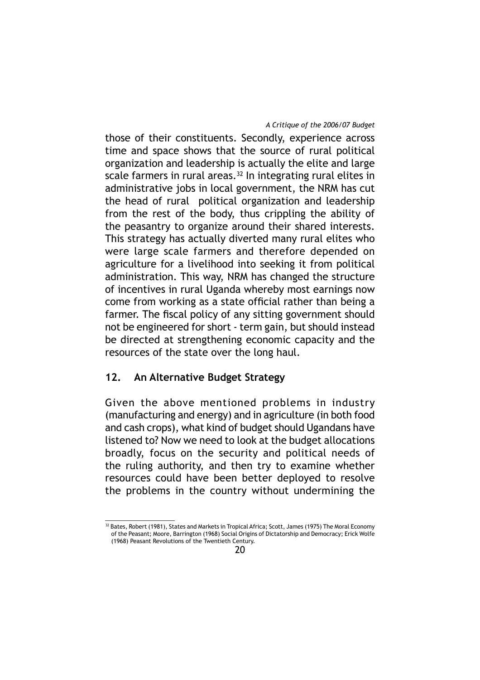those of their constituents. Secondly, experience across time and space shows that the source of rural political organization and leadership is actually the elite and large scale farmers in rural areas. $32$  In integrating rural elites in administrative jobs in local government, the NRM has cut the head of rural political organization and leadership from the rest of the body, thus crippling the ability of the peasantry to organize around their shared interests. This strategy has actually diverted many rural elites who were large scale farmers and therefore depended on agriculture for a livelihood into seeking it from political administration. This way, NRM has changed the structure of incentives in rural Uganda whereby most earnings now come from working as a state official rather than being a farmer. The fiscal policy of any sitting government should not be engineered for short - term gain, but should instead be directed at strengthening economic capacity and the resources of the state over the long haul.

# **12. An Alternative Budget Strategy**

Given the above mentioned problems in industry (manufacturing and energy) and in agriculture (in both food and cash crops), what kind of budget should Ugandans have listened to? Now we need to look at the budget allocations broadly, focus on the security and political needs of the ruling authority, and then try to examine whether resources could have been better deployed to resolve the problems in the country without undermining the

 $32$  Bates, Robert (1981), States and Markets in Tropical Africa; Scott, James (1975) The Moral Economy of the Peasant; Moore, Barrington (1968) Social Origins of Dictatorship and Democracy; Erick Wolfe (1968) Peasant Revolutions of the Twentieth Century.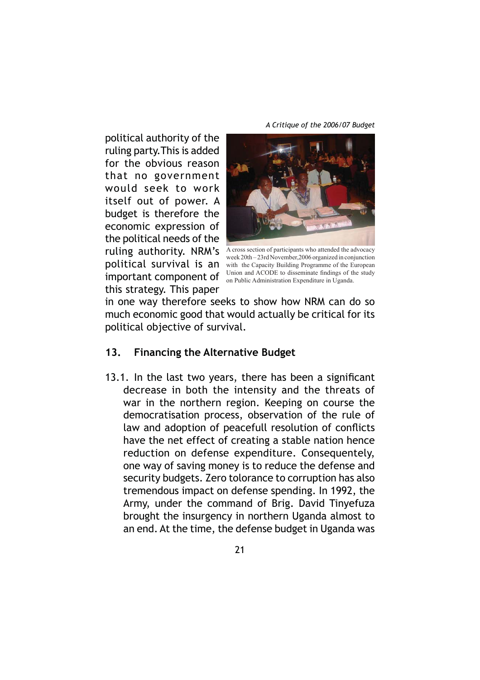political authority of the ruling party.This is added for the obvious reason that no government would seek to work itself out of power. A budget is therefore the economic expression of the political needs of the this strategy. This paper



ruling  $authority$ .  $NRM's$  A cross section of participants who attended the advocacy political survival is an with the Capacity Building Programme of the European **important component of** Union and ACODE to disseminate findings of the study  $\frac{1}{2}$ week 20th – 23rd November,2006 organized in conjunction on Public Administration Expenditure in Uganda.

in one way therefore seeks to show how NRM can do so much economic good that would actually be critical for its political objective of survival.

# **13. Financing the Alternative Budget**

13.1. In the last two years, there has been a significant decrease in both the intensity and the threats of war in the northern region. Keeping on course the democratisation process, observation of the rule of law and adoption of peacefull resolution of conflicts have the net effect of creating a stable nation hence reduction on defense expenditure. Consequentely, one way of saving money is to reduce the defense and security budgets. Zero tolorance to corruption has also tremendous impact on defense spending. In 1992, the Army, under the command of Brig. David Tinyefuza brought the insurgency in northern Uganda almost to an end. At the time, the defense budget in Uganda was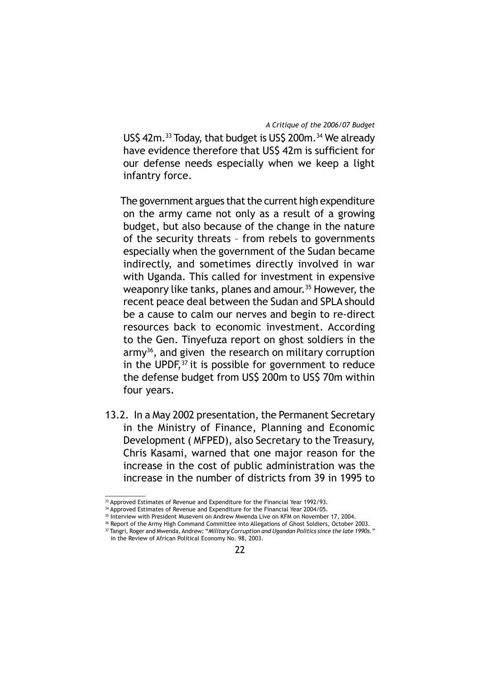USS 42m.<sup>33</sup> Today, that budget is US\$ 200m.<sup>34</sup> We already have evidence therefore that US\$ 42m is sufficient for our defense needs especially when we keep a light infantry force.

 The government argues that the current high expenditure on the army came not only as a result of a growing budget, but also because of the change in the nature of the security threats – from rebels to governments especially when the government of the Sudan became indirectly, and sometimes directly involved in war with Uganda. This called for investment in expensive weaponry like tanks, planes and amour.<sup>35</sup> However, the recent peace deal between the Sudan and SPLA should be a cause to calm our nerves and begin to re-direct resources back to economic investment. According to the Gen. Tinyefuza report on ghost soldiers in the  $army<sup>36</sup>$ , and given the research on military corruption in the UPDF, $37$  it is possible for government to reduce the defense budget from US\$ 200m to US\$ 70m within four years.

13.2. In a May 2002 presentation, the Permanent Secretary in the Ministry of Finance, Planning and Economic Development ( MFPED), also Secretary to the Treasury, Chris Kasami, warned that one major reason for the increase in the cost of public administration was the increase in the number of districts from 39 in 1995 to

<sup>&</sup>lt;sup>33</sup> Approved Estimates of Revenue and Expenditure for the Financial Year 1992/93.

<sup>&</sup>lt;sup>34</sup> Approved Estimates of Revenue and Expenditure for the Financial Year 2004/05.

<sup>&</sup>lt;sup>35</sup> Interview with President Museveni on Andrew Mwenda Live on KFM on November 17, 2004.

<sup>&</sup>lt;sup>36</sup> Report of the Army High Command Committee into Allegations of Ghost Soldiers, October 2003.

<sup>37</sup> Tangri, Roger and Mwenda, Andrew: "*Military Corruption and Ugandan Politics since the late 1990s."*  in the Review of African Political Economy No. 98, 2003.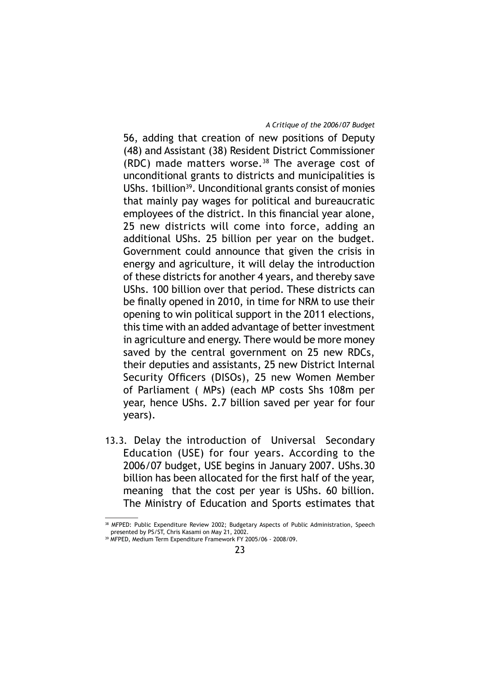56, adding that creation of new positions of Deputy (48) and Assistant (38) Resident District Commissioner (RDC) made matters worse. $38$  The average cost of unconditional grants to districts and municipalities is UShs. 1 billion<sup>39</sup>. Unconditional grants consist of monies that mainly pay wages for political and bureaucratic employees of the district. In this financial year alone, 25 new districts will come into force, adding an additional UShs. 25 billion per year on the budget. Government could announce that given the crisis in energy and agriculture, it will delay the introduction of these districts for another 4 years, and thereby save UShs. 100 billion over that period. These districts can be finally opened in 2010, in time for NRM to use their opening to win political support in the 2011 elections, this time with an added advantage of better investment in agriculture and energy. There would be more money saved by the central government on 25 new RDCs, their deputies and assistants, 25 new District Internal Security Officers (DISOs), 25 new Women Member of Parliament ( MPs) (each MP costs Shs 108m per year, hence UShs. 2.7 billion saved per year for four years).

13.3. Delay the introduction of Universal Secondary Education (USE) for four years. According to the 2006/07 budget, USE begins in January 2007. UShs.30 billion has been allocated for the first half of the year, meaning that the cost per year is UShs. 60 billion. The Ministry of Education and Sports estimates that

<sup>38</sup> MFPED: Public Expenditure Review 2002; Budgetary Aspects of Public Administration, Speech presented by PS/ST, Chris Kasami on May 21, 2002.

<sup>39</sup> MFPED, Medium Term Expenditure Framework FY 2005/06 - 2008/09.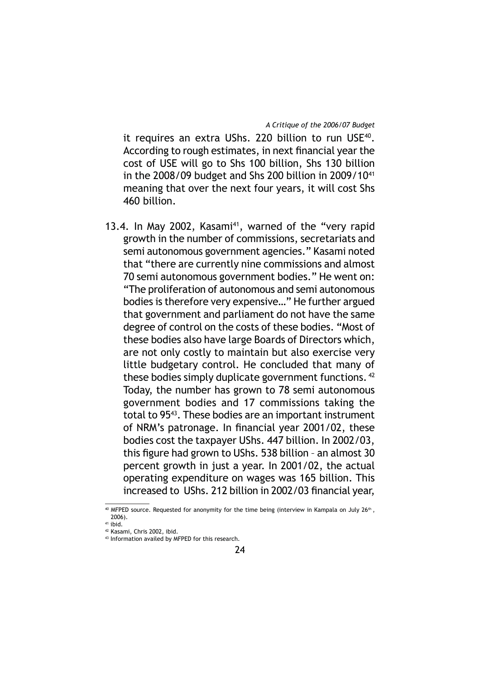it requires an extra UShs. 220 billion to run USE<sup>40</sup>. According to rough estimates, in next financial year the cost of USE will go to Shs 100 billion, Shs 130 billion in the  $2008/09$  budget and Shs 200 billion in  $2009/10^{41}$ meaning that over the next four years, it will cost Shs 460 billion.

13.4. In May 2002, Kasami<sup>41</sup>, warned of the "very rapid growth in the number of commissions, secretariats and semi autonomous government agencies." Kasami noted that "there are currently nine commissions and almost 70 semi autonomous government bodies." He went on: "The proliferation of autonomous and semi autonomous bodies is therefore very expensive…" He further argued that government and parliament do not have the same degree of control on the costs of these bodies. "Most of these bodies also have large Boards of Directors which, are not only costly to maintain but also exercise very little budgetary control. He concluded that many of these bodies simply duplicate government functions.<sup>42</sup> Today, the number has grown to 78 semi autonomous government bodies and 17 commissions taking the total to 9543. These bodies are an important instrument of NRM's patronage. In financial year 2001/02, these bodies cost the taxpayer UShs. 447 billion. In 2002/03, this figure had grown to UShs. 538 billion - an almost 30 percent growth in just a year. In 2001/02, the actual operating expenditure on wages was 165 billion. This increased to UShs. 212 billion in 2002/03 financial year,

<sup>40</sup> MFPED source. Requested for anonymity for the time being (interview in Kampala on July 26<sup>th</sup>, 2006).

<sup>41</sup> ibid.

<sup>42</sup> Kasami, Chris 2002, ibid.

<sup>43</sup> Information availed by MFPED for this research.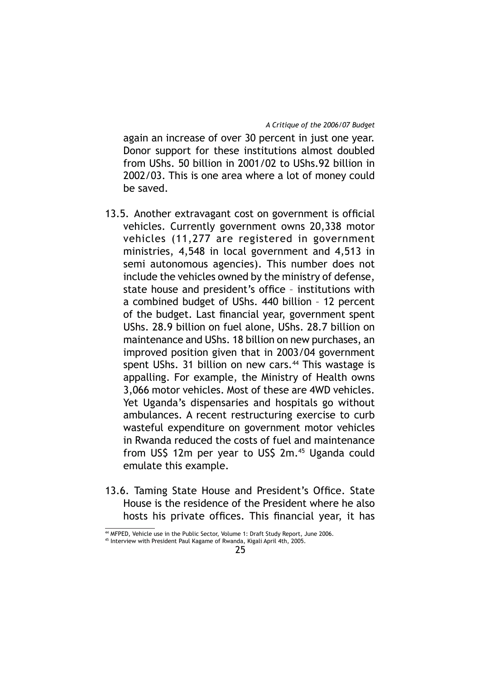again an increase of over 30 percent in just one year. Donor support for these institutions almost doubled from UShs. 50 billion in 2001/02 to UShs.92 billion in 2002/03. This is one area where a lot of money could be saved.

- 13.5. Another extravagant cost on government is official vehicles. Currently government owns 20,338 motor vehicles (11,277 are registered in government ministries, 4,548 in local government and 4,513 in semi autonomous agencies). This number does not include the vehicles owned by the ministry of defense, state house and president's office - institutions with a combined budget of UShs. 440 billion – 12 percent of the budget. Last financial year, government spent UShs. 28.9 billion on fuel alone, UShs. 28.7 billion on maintenance and UShs. 18 billion on new purchases, an improved position given that in 2003/04 government spent UShs. 31 billion on new cars. $44$  This wastage is appalling. For example, the Ministry of Health owns 3,066 motor vehicles. Most of these are 4WD vehicles. Yet Uganda's dispensaries and hospitals go without ambulances. A recent restructuring exercise to curb wasteful expenditure on government motor vehicles in Rwanda reduced the costs of fuel and maintenance from US\$ 12m per year to US\$ 2m.45 Uganda could emulate this example.
- 13.6. Taming State House and President's Office. State House is the residence of the President where he also hosts his private offices. This financial year, it has

<sup>44</sup> MFPED, Vehicle use in the Public Sector, Volume 1: Draft Study Report, June 2006.

<sup>45</sup> Interview with President Paul Kagame of Rwanda, Kigali April 4th, 2005.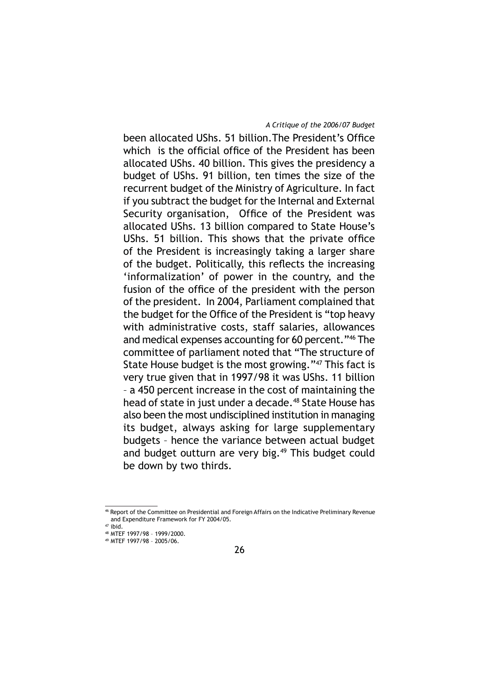been allocated UShs. 51 billion. The President's Office which is the official office of the President has been allocated UShs. 40 billion. This gives the presidency a budget of UShs. 91 billion, ten times the size of the recurrent budget of the Ministry of Agriculture. In fact if you subtract the budget for the Internal and External Security organisation, Office of the President was allocated UShs. 13 billion compared to State House's UShs. 51 billion. This shows that the private office of the President is increasingly taking a larger share of the budget. Politically, this reflects the increasing 'informalization' of power in the country, and the fusion of the office of the president with the person of the president. In 2004, Parliament complained that the budget for the Office of the President is "top heavy with administrative costs, staff salaries, allowances and medical expenses accounting for 60 percent."46 The committee of parliament noted that "The structure of State House budget is the most growing."47 This fact is very true given that in 1997/98 it was UShs. 11 billion – a 450 percent increase in the cost of maintaining the head of state in just under a decade.<sup>48</sup> State House has also been the most undisciplined institution in managing its budget, always asking for large supplementary budgets – hence the variance between actual budget and budget outturn are very big.<sup>49</sup> This budget could be down by two thirds.

<sup>46</sup> Report of the Committee on Presidential and Foreign Affairs on the Indicative Preliminary Revenue and Expenditure Framework for FY 2004/05.

 $47$  ibid.

<sup>48</sup> MTEF 1997/98 – 1999/2000.

<sup>49</sup> MTEF 1997/98 – 2005/06.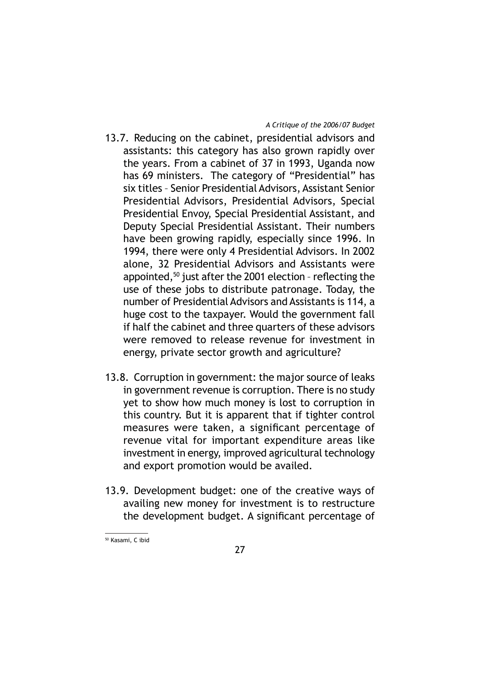- 13.7. Reducing on the cabinet, presidential advisors and assistants: this category has also grown rapidly over the years. From a cabinet of 37 in 1993, Uganda now has 69 ministers. The category of "Presidential" has six titles – Senior Presidential Advisors, Assistant Senior Presidential Advisors, Presidential Advisors, Special Presidential Envoy, Special Presidential Assistant, and Deputy Special Presidential Assistant. Their numbers have been growing rapidly, especially since 1996. In 1994, there were only 4 Presidential Advisors. In 2002 alone, 32 Presidential Advisors and Assistants were appointed, $50$  just after the 2001 election - reflecting the use of these jobs to distribute patronage. Today, the number of Presidential Advisors and Assistants is 114, a huge cost to the taxpayer. Would the government fall if half the cabinet and three quarters of these advisors were removed to release revenue for investment in energy, private sector growth and agriculture?
- 13.8. Corruption in government: the major source of leaks in government revenue is corruption. There is no study yet to show how much money is lost to corruption in this country. But it is apparent that if tighter control measures were taken, a significant percentage of revenue vital for important expenditure areas like investment in energy, improved agricultural technology and export promotion would be availed.
- 13.9. Development budget: one of the creative ways of availing new money for investment is to restructure the development budget. A significant percentage of

50 Kasami, C ibid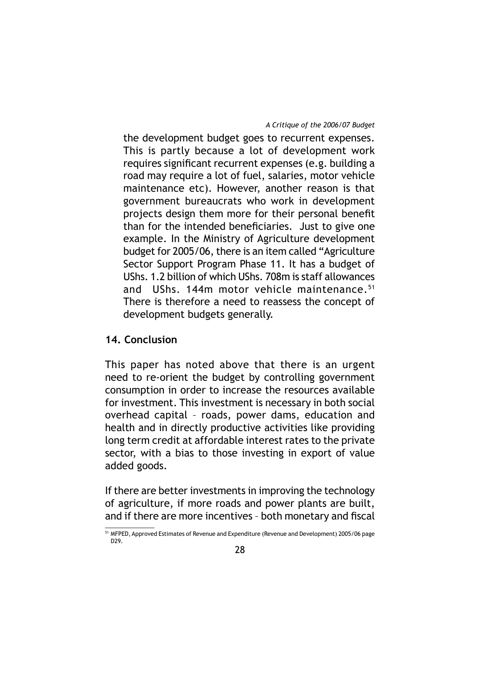the development budget goes to recurrent expenses. This is partly because a lot of development work requires significant recurrent expenses (e.g. building a road may require a lot of fuel, salaries, motor vehicle maintenance etc). However, another reason is that government bureaucrats who work in development projects design them more for their personal benefit than for the intended beneficiaries. Just to give one example. In the Ministry of Agriculture development budget for 2005/06, there is an item called "Agriculture Sector Support Program Phase 11. It has a budget of UShs. 1.2 billion of which UShs. 708m is staff allowances and UShs. 144m motor vehicle maintenance.<sup>51</sup> There is therefore a need to reassess the concept of development budgets generally.

# **14. Conclusion**

This paper has noted above that there is an urgent need to re-orient the budget by controlling government consumption in order to increase the resources available for investment. This investment is necessary in both social overhead capital – roads, power dams, education and health and in directly productive activities like providing long term credit at affordable interest rates to the private sector, with a bias to those investing in export of value added goods.

If there are better investments in improving the technology of agriculture, if more roads and power plants are built, and if there are more incentives - both monetary and fiscal

<sup>51</sup> MFPED, Approved Estimates of Revenue and Expenditure (Revenue and Development) 2005/06 page D29.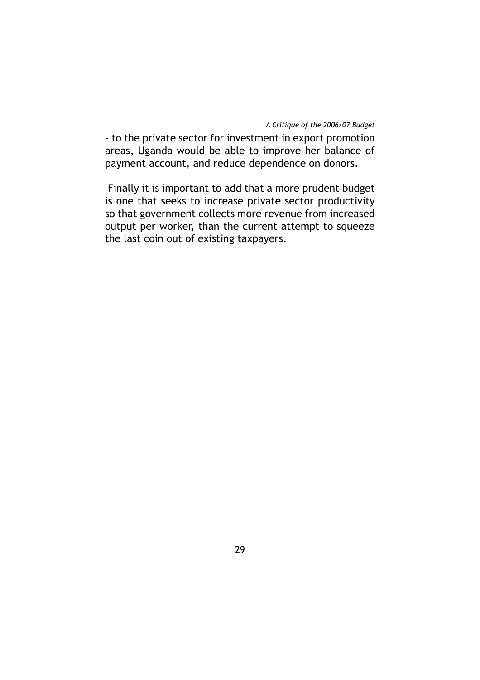– to the private sector for investment in export promotion areas, Uganda would be able to improve her balance of payment account, and reduce dependence on donors.

 Finally it is important to add that a more prudent budget is one that seeks to increase private sector productivity so that government collects more revenue from increased output per worker, than the current attempt to squeeze the last coin out of existing taxpayers.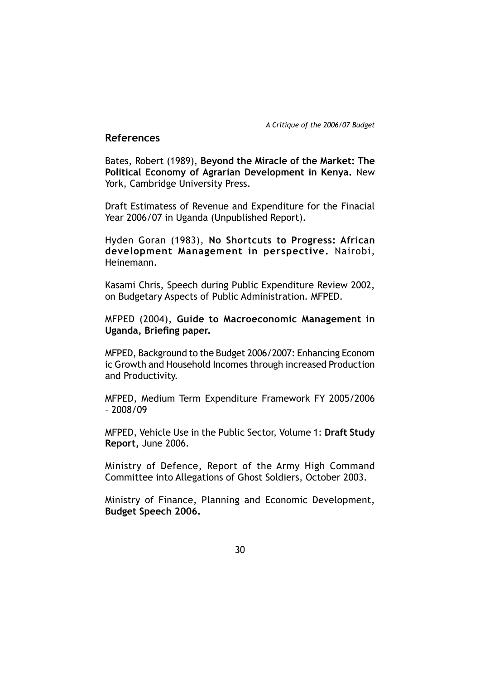## **References**

Bates, Robert (1989), **Beyond the Miracle of the Market: The Political Economy of Agrarian Development in Kenya.** New York, Cambridge University Press.

Draft Estimatess of Revenue and Expenditure for the Finacial Year 2006/07 in Uganda (Unpublished Report).

Hyden Goran (1983), **No Shortcuts to Progress: African development Management in perspective.** Nairobi, Heinemann.

Kasami Chris, Speech during Public Expenditure Review 2002, on Budgetary Aspects of Public Administration. MFPED.

MFPED (2004), **Guide to Macroeconomic Management in Uganda, Briefing paper.** 

MFPED, Background to the Budget 2006/2007: Enhancing Econom ic Growth and Household Incomes through increased Production and Productivity.

MFPED, Medium Term Expenditure Framework FY 2005/2006 – 2008/09

MFPED, Vehicle Use in the Public Sector, Volume 1: **Draft Study Report,** June 2006.

Ministry of Defence, Report of the Army High Command Committee into Allegations of Ghost Soldiers, October 2003.

Ministry of Finance, Planning and Economic Development, **Budget Speech 2006.**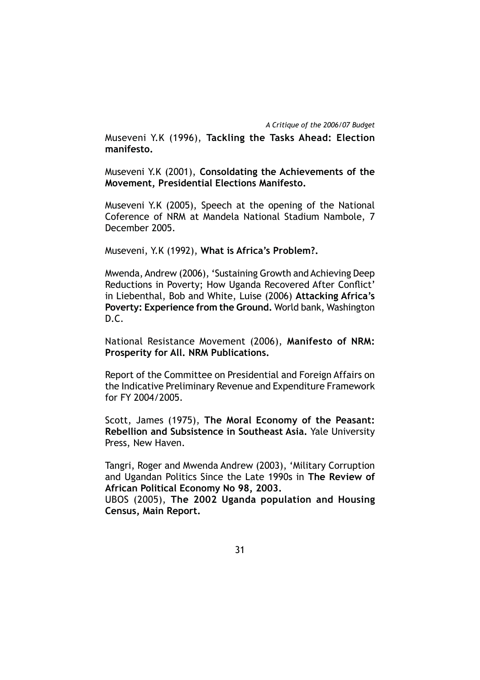Museveni Y.K (1996), **Tackling the Tasks Ahead: Election manifesto.**

Museveni Y.K (2001), **Consoldating the Achievements of the Movement, Presidential Elections Manifesto.**

Museveni Y.K (2005), Speech at the opening of the National Coference of NRM at Mandela National Stadium Nambole, 7 December 2005.

Museveni, Y.K (1992), **What is Africa's Problem?.**

Mwenda, Andrew (2006), 'Sustaining Growth and Achieving Deep Reductions in Poverty; How Uganda Recovered After Conflict' in Liebenthal, Bob and White, Luise (2006) **Attacking Africa's Poverty: Experience from the Ground.** World bank, Washington D.C.

National Resistance Movement (2006), **Manifesto of NRM: Prosperity for All. NRM Publications.**

Report of the Committee on Presidential and Foreign Affairs on the Indicative Preliminary Revenue and Expenditure Framework for FY 2004/2005.

Scott, James (1975), **The Moral Economy of the Peasant: Rebellion and Subsistence in Southeast Asia.** Yale University Press, New Haven.

Tangri, Roger and Mwenda Andrew (2003), 'Military Corruption and Ugandan Politics Since the Late 1990s in **The Review of African Political Economy No 98, 2003.**

UBOS (2005), **The 2002 Uganda population and Housing Census, Main Report.**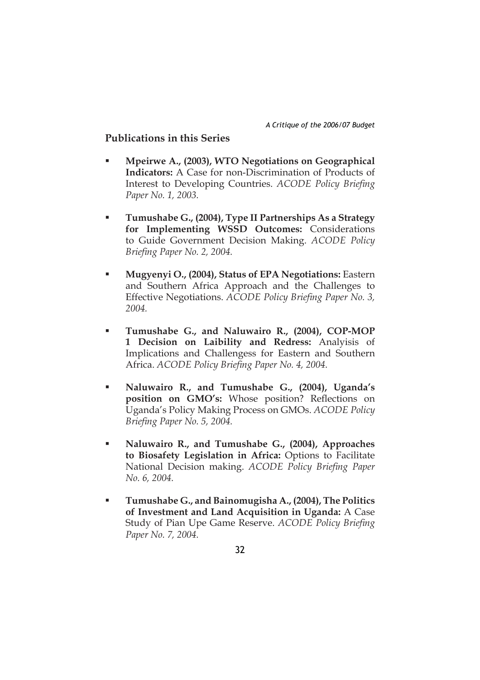# **Publications in this Series**

- **Mpeirwe A., (2003), WTO Negotiations on Geographical Indicators:** A Case for non-Discrimination of Products of Interest to Developing Countries. *ACODE Policy Briefing Paper No. 1, 2003.*
- **Tumushabe G., (2004), Type II Partnerships As a Strategy for Implementing WSSD Outcomes:** Considerations to Guide Government Decision Making. *ACODE Policy Briefing Paper No. 2, 2004.*
- **Mugyenyi O., (2004), Status of EPA Negotiations:** Eastern and Southern Africa Approach and the Challenges to Effective Negotiations. *ACODE Policy Briefing Paper No. 3*, *2004.*
- **Tumushabe G., and Naluwairo R., (2004), COP-MOP 1 Decision on Laibility and Redress:** Analyisis of Implications and Challengess for Eastern and Southern Africa. *ACODE Policy Briefing Paper No. 4, 2004.*
- **Naluwairo R., and Tumushabe G., (2004), Uganda's**  position on GMO's: Whose position? Reflections on Uganda's Policy Making Process on GMOs. *ACODE Policy Briefing Paper No. 5, 2004.*
- **Naluwairo R., and Tumushabe G., (2004), Approaches to Biosafety Legislation in Africa:** Options to Facilitate National Decision making. *ACODE Policy Briefing Paper No. 6, 2004.*
- **Tumushabe G., and Bainomugisha A., (2004), The Politics of Investment and Land Acquisition in Uganda:** A Case Study of Pian Upe Game Reserve. *ACODE Policy Briefing Paper No. 7, 2004.*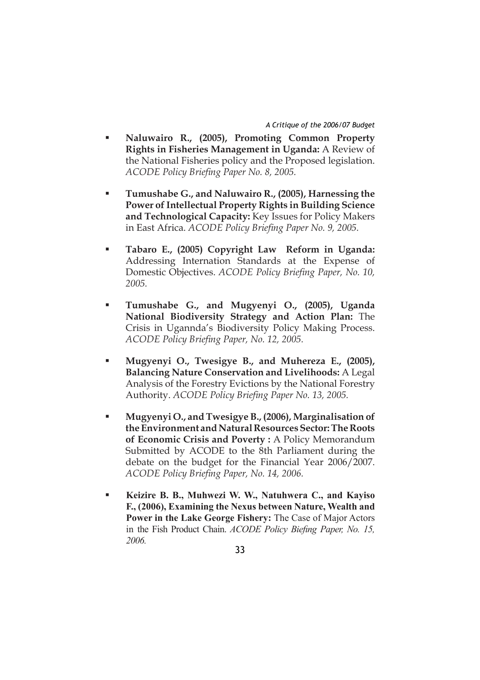- **Naluwairo R., (2005), Promoting Common Property Rights in Fisheries Management in Uganda:** A Review of the National Fisheries policy and the Proposed legislation. *ACODE Policy Briefing Paper No. 8, 2005.*
- **Tumushabe G., and Naluwairo R., (2005), Harnessing the Power of Intellectual Property Rights in Building Science and Technological Capacity:** Key Issues for Policy Makers in East Africa. *ACODE Policy Briefing Paper No. 9, 2005.*
- **Tabaro E., (2005) Copyright Law Reform in Uganda:** Addressing Internation Standards at the Expense of Domestic Objectives. *ACODE Policy Briefing Paper, No.* 10, *2005.*
- **Tumushabe G., and Mugyenyi O., (2005), Uganda National Biodiversity Strategy and Action Plan:** The Crisis in Ugannda's Biodiversity Policy Making Process. *ACODE Policy Briefing Paper, No. 12, 2005.*
- **Mugyenyi O., Twesigye B., and Muhereza E., (2005), Balancing Nature Conservation and Livelihoods:** A Legal Analysis of the Forestry Evictions by the National Forestry Authority. *ACODE Policy Briefing Paper No.* 13, 2005.
- **Mugyenyi O., and Twesigye B., (2006), Marginalisation of the Environment and Natural Resources Sector: The Roots of Economic Crisis and Poverty :** A Policy Memorandum Submitted by ACODE to the 8th Parliament during the debate on the budget for the Financial Year 2006/2007. *ACODE Policy Briefing Paper, No. 14, 2006.*
- **Keizire B. B., Muhwezi W. W., Natuhwera C., and Kayiso F., (2006), Examining the Nexus between Nature, Wealth and Power in the Lake George Fishery:** The Case of Major Actors in the Fish Product Chain. *ACODE Policy Biefing Paper*, No. 15, *2006.*